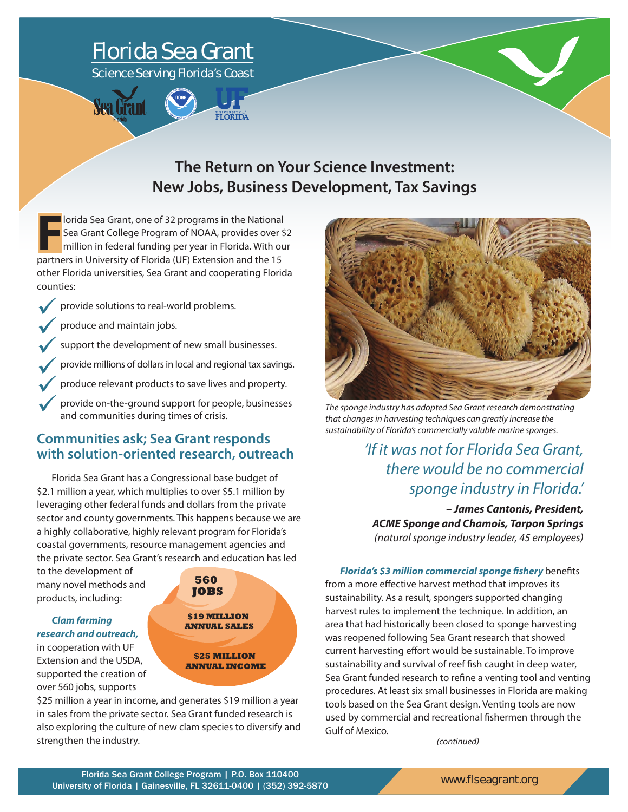# Florida Sea Grant Science Serving Florida's Coast



# **The Return on Your Science Investment: New Jobs, Business Development, Tax Savings**

**F** lorida Sea Grant, one of 32 programs in the National<br>
Sea Grant College Program of NOAA, provides over s<br>
million in federal funding per year in Florida. With or<br>
partners in University of Florida (UF) Extension and th lorida Sea Grant, one of 32 programs in the National Sea Grant College Program of NOAA, provides over \$2 million in federal funding per year in Florida. With our other Florida universities, Sea Grant and cooperating Florida counties:

provide solutions to real-world problems.

produce and maintain jobs.

support the development of new small businesses.

provide millions of dollars in local and regional tax savings.

produce relevant products to save lives and property.

provide on-the-ground support for people, businesses and communities during times of crisis.

### **Communities ask; Sea Grant responds with solution-oriented research, outreach**

Florida Sea Grant has a Congressional base budget of \$2.1 million a year, which multiplies to over \$5.1 million by leveraging other federal funds and dollars from the private sector and county governments. This happens because we are a highly collaborative, highly relevant program for Florida's coastal governments, resource management agencies and the private sector. Sea Grant's research and education has led

to the development of many novel methods and products, including:

### *Clam farming research and outreach,*

in cooperation with UF Extension and the USDA, supported the creation of over 560 jobs, supports



\$25 million a year in income, and generates \$19 million a year in sales from the private sector. Sea Grant funded research is also exploring the culture of new clam species to diversify and strengthen the industry.



*The sponge industry has adopted Sea Grant research demonstrating that changes in harvesting techniques can greatly increase the sustainability of Florida's commercially valuble marine sponges.*

*'If it was not for Florida Sea Grant, there would be no commercial sponge industry in Florida.'* 

*– James Cantonis, President, ACME Sponge and Chamois, Tarpon Springs (natural sponge industry leader, 45 employees)*

*Florida's \$3 million commercial sponge fishery* benefits from a more effective harvest method that improves its sustainability. As a result, spongers supported changing harvest rules to implement the technique. In addition, an area that had historically been closed to sponge harvesting was reopened following Sea Grant research that showed current harvesting effort would be sustainable. To improve sustainability and survival of reef fish caught in deep water, Sea Grant funded research to refine a venting tool and venting procedures. At least six small businesses in Florida are making tools based on the Sea Grant design. Venting tools are now used by commercial and recreational fishermen through the Gulf of Mexico.

*(continued)*